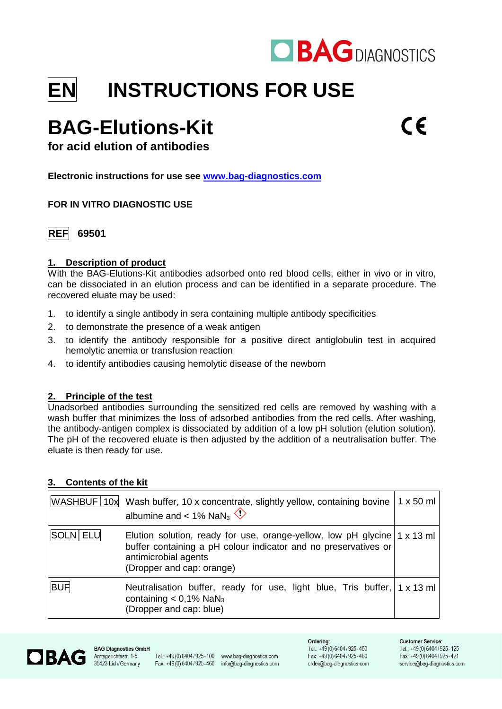

# **EN INSTRUCTIONS FOR USE**

# **BAG-Elutions-Kit**

**for acid elution of antibodies**

**Electronic instructions for use see [www.bag-diagnostics.com](http://www.bag-diagnostics.com/)**

# **FOR IN VITRO DIAGNOSTIC USE**



# **1. Description of product**

With the BAG-Elutions-Kit antibodies adsorbed onto red blood cells, either in vivo or in vitro, can be dissociated in an elution process and can be identified in a separate procedure. The recovered eluate may be used:

- 1. to identify a single antibody in sera containing multiple antibody specificities
- 2. to demonstrate the presence of a weak antigen
- 3. to identify the antibody responsible for a positive direct antiglobulin test in acquired hemolytic anemia or transfusion reaction
- 4. to identify antibodies causing hemolytic disease of the newborn

# **2. Principle of the test**

Unadsorbed antibodies surrounding the sensitized red cells are removed by washing with a wash buffer that minimizes the loss of adsorbed antibodies from the red cells. After washing, the antibody-antigen complex is dissociated by addition of a low pH solution (elution solution). The pH of the recovered eluate is then adjusted by the addition of a neutralisation buffer. The eluate is then ready for use.

# **3. Contents of the kit**

|            | WASHBUF 10x Wash buffer, 10 x concentrate, slightly yellow, containing bovine   1 x 50 ml<br>albumine and < 1% NaN <sub>3</sub> $\Diamond$                                                                          |  |
|------------|---------------------------------------------------------------------------------------------------------------------------------------------------------------------------------------------------------------------|--|
| SOLN ELU   | Elution solution, ready for use, orange-yellow, low pH glycine $\vert 1 \times 13 \vert$ ml<br>buffer containing a pH colour indicator and no preservatives or<br>antimicrobial agents<br>(Dropper and cap: orange) |  |
| <b>BUF</b> | Neutralisation buffer, ready for use, light blue, Tris buffer, $\vert 1 \times 13 \text{ ml} \vert$<br>containing $< 0.1\%$ NaN <sub>3</sub><br>(Dropper and cap: blue)                                             |  |

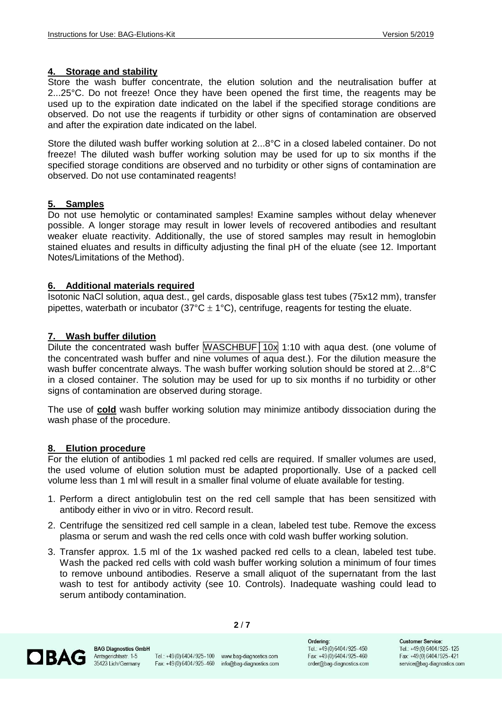#### **4. Storage and stability**

Store the wash buffer concentrate, the elution solution and the neutralisation buffer at 2...25°C. Do not freeze! Once they have been opened the first time, the reagents may be used up to the expiration date indicated on the label if the specified storage conditions are observed. Do not use the reagents if turbidity or other signs of contamination are observed and after the expiration date indicated on the label.

Store the diluted wash buffer working solution at 2...8°C in a closed labeled container. Do not freeze! The diluted wash buffer working solution may be used for up to six months if the specified storage conditions are observed and no turbidity or other signs of contamination are observed. Do not use contaminated reagents!

#### **5. Samples**

Do not use hemolytic or contaminated samples! Examine samples without delay whenever possible. A longer storage may result in lower levels of recovered antibodies and resultant weaker eluate reactivity. Additionally, the use of stored samples may result in hemoglobin stained eluates and results in difficulty adjusting the final pH of the eluate (see 12. Important Notes/Limitations of the Method).

#### **6. Additional materials required**

Isotonic NaCl solution, aqua dest., gel cards, disposable glass test tubes (75x12 mm), transfer pipettes, waterbath or incubator (37 $^{\circ}$ C  $\pm$  1 $^{\circ}$ C), centrifuge, reagents for testing the eluate.

#### **7. Wash buffer dilution**

Dilute the concentrated wash buffer WASCHBUF│10x 1:10 with aqua dest. (one volume of the concentrated wash buffer and nine volumes of aqua dest.). For the dilution measure the wash buffer concentrate always. The wash buffer working solution should be stored at 2...8°C in a closed container. The solution may be used for up to six months if no turbidity or other signs of contamination are observed during storage.

The use of **cold** wash buffer working solution may minimize antibody dissociation during the wash phase of the procedure.

#### **8. Elution procedure**

For the elution of antibodies 1 ml packed red cells are required. If smaller volumes are used, the used volume of elution solution must be adapted proportionally. Use of a packed cell volume less than 1 ml will result in a smaller final volume of eluate available for testing.

- 1. Perform a direct antiglobulin test on the red cell sample that has been sensitized with antibody either in vivo or in vitro. Record result.
- 2. Centrifuge the sensitized red cell sample in a clean, labeled test tube. Remove the excess plasma or serum and wash the red cells once with cold wash buffer working solution.
- 3. Transfer approx. 1.5 ml of the 1x washed packed red cells to a clean, labeled test tube. Wash the packed red cells with cold wash buffer working solution a minimum of four times to remove unbound antibodies. Reserve a small aliquot of the supernatant from the last wash to test for antibody activity (see 10. Controls). Inadequate washing could lead to serum antibody contamination.

**2** / **7**



**BAG Diagnostics GmbH** Amtsgerichtsstr. 1-5 35423 Lich/Germany

Tel.: +49(0)6404/925-100 www.bag-diagnostics.com Fax: +49(0)6404/925-460 info@bag-diagnostics.com

Ordering: Tel.: +49(0)6404/925-450 Fax: +49(0)6404/925-460 order@bag-diagnostics.com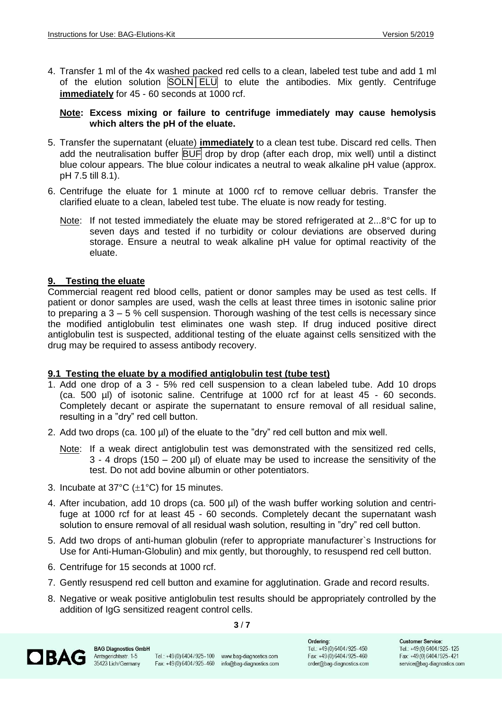4. Transfer 1 ml of the 4x washed packed red cells to a clean, labeled test tube and add 1 ml of the elution solution SOLN ELU to elute the antibodies. Mix gently. Centrifuge **immediately** for 45 - 60 seconds at 1000 rcf.

#### **Note: Excess mixing or failure to centrifuge immediately may cause hemolysis which alters the pH of the eluate.**

- 5. Transfer the supernatant (eluate) **immediately** to a clean test tube. Discard red cells. Then add the neutralisation buffer BUF drop by drop (after each drop, mix well) until a distinct blue colour appears. The blue colour indicates a neutral to weak alkaline pH value (approx. pH 7.5 till 8.1).
- 6. Centrifuge the eluate for 1 minute at 1000 rcf to remove celluar debris. Transfer the clarified eluate to a clean, labeled test tube. The eluate is now ready for testing.
	- Note: If not tested immediately the eluate may be stored refrigerated at 2...8°C for up to seven days and tested if no turbidity or colour deviations are observed during storage. Ensure a neutral to weak alkaline pH value for optimal reactivity of the eluate.

### **9. Testing the eluate**

Commercial reagent red blood cells, patient or donor samples may be used as test cells. If patient or donor samples are used, wash the cells at least three times in isotonic saline prior to preparing a  $3 - 5$  % cell suspension. Thorough washing of the test cells is necessary since the modified antiglobulin test eliminates one wash step. If drug induced positive direct antiglobulin test is suspected, additional testing of the eluate against cells sensitized with the drug may be required to assess antibody recovery.

#### **9.1 Testing the eluate by a modified antiglobulin test (tube test)**

- 1. Add one drop of a 3 5% red cell suspension to a clean labeled tube. Add 10 drops (ca. 500 µl) of isotonic saline. Centrifuge at 1000 rcf for at least 45 - 60 seconds. Completely decant or aspirate the supernatant to ensure removal of all residual saline, resulting in a "dry" red cell button.
- 2. Add two drops (ca. 100 µl) of the eluate to the "dry" red cell button and mix well.
	- Note: If a weak direct antiglobulin test was demonstrated with the sensitized red cells,  $3 - 4$  drops (150 – 200 µl) of eluate may be used to increase the sensitivity of the test. Do not add bovine albumin or other potentiators.
- 3. Incubate at  $37^{\circ}$ C ( $\pm$ 1°C) for 15 minutes.
- 4. After incubation, add 10 drops (ca. 500 ul) of the wash buffer working solution and centrifuge at 1000 rcf for at least 45 - 60 seconds. Completely decant the supernatant wash solution to ensure removal of all residual wash solution, resulting in "dry" red cell button.
- 5. Add two drops of anti-human globulin (refer to appropriate manufacturer`s Instructions for Use for Anti-Human-Globulin) and mix gently, but thoroughly, to resuspend red cell button.
- 6. Centrifuge for 15 seconds at 1000 rcf.
- 7. Gently resuspend red cell button and examine for agglutination. Grade and record results.
- 8. Negative or weak positive antiglobulin test results should be appropriately controlled by the addition of IgG sensitized reagent control cells.

**3** / **7**

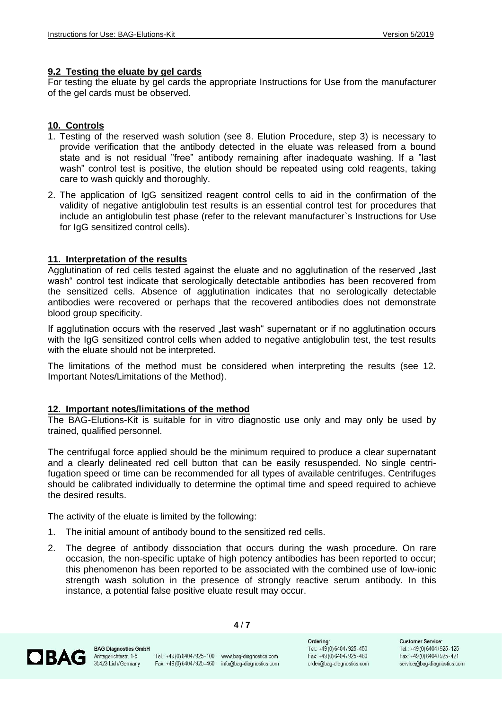#### **9.2 Testing the eluate by gel cards**

For testing the eluate by gel cards the appropriate Instructions for Use from the manufacturer of the gel cards must be observed.

#### **10. Controls**

- 1. Testing of the reserved wash solution (see 8. Elution Procedure, step 3) is necessary to provide verification that the antibody detected in the eluate was released from a bound state and is not residual "free" antibody remaining after inadequate washing. If a "last wash" control test is positive, the elution should be repeated using cold reagents, taking care to wash quickly and thoroughly.
- 2. The application of IgG sensitized reagent control cells to aid in the confirmation of the validity of negative antiglobulin test results is an essential control test for procedures that include an antiglobulin test phase (refer to the relevant manufacturer`s Instructions for Use for IgG sensitized control cells).

#### **11. Interpretation of the results**

Agglutination of red cells tested against the eluate and no agglutination of the reserved "last wash" control test indicate that serologically detectable antibodies has been recovered from the sensitized cells. Absence of agglutination indicates that no serologically detectable antibodies were recovered or perhaps that the recovered antibodies does not demonstrate blood group specificity.

If agglutination occurs with the reserved "last wash" supernatant or if no agglutination occurs with the IgG sensitized control cells when added to negative antiglobulin test, the test results with the eluate should not be interpreted.

The limitations of the method must be considered when interpreting the results (see 12. Important Notes/Limitations of the Method).

#### **12. Important notes/limitations of the method**

The BAG-Elutions-Kit is suitable for in vitro diagnostic use only and may only be used by trained, qualified personnel.

The centrifugal force applied should be the minimum required to produce a clear supernatant and a clearly delineated red cell button that can be easily resuspended. No single centrifugation speed or time can be recommended for all types of available centrifuges. Centrifuges should be calibrated individually to determine the optimal time and speed required to achieve the desired results.

The activity of the eluate is limited by the following:

- 1. The initial amount of antibody bound to the sensitized red cells.
- 2. The degree of antibody dissociation that occurs during the wash procedure. On rare occasion, the non-specific uptake of high potency antibodies has been reported to occur; this phenomenon has been reported to be associated with the combined use of low-ionic strength wash solution in the presence of strongly reactive serum antibody. In this instance, a potential false positive eluate result may occur.

**4** / **7**

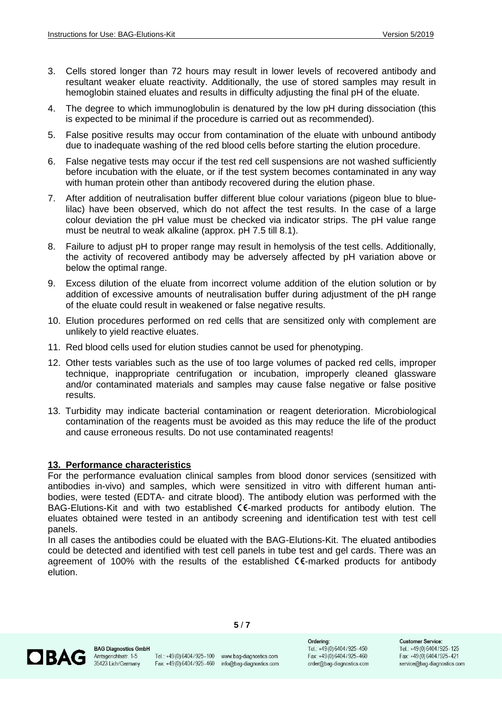- 3. Cells stored longer than 72 hours may result in lower levels of recovered antibody and resultant weaker eluate reactivity. Additionally, the use of stored samples may result in hemoglobin stained eluates and results in difficulty adjusting the final pH of the eluate.
- 4. The degree to which immunoglobulin is denatured by the low pH during dissociation (this is expected to be minimal if the procedure is carried out as recommended).
- 5. False positive results may occur from contamination of the eluate with unbound antibody due to inadequate washing of the red blood cells before starting the elution procedure.
- 6. False negative tests may occur if the test red cell suspensions are not washed sufficiently before incubation with the eluate, or if the test system becomes contaminated in any way with human protein other than antibody recovered during the elution phase.
- 7. After addition of neutralisation buffer different blue colour variations (pigeon blue to bluelilac) have been observed, which do not affect the test results. In the case of a large colour deviation the pH value must be checked via indicator strips. The pH value range must be neutral to weak alkaline (approx. pH 7.5 till 8.1).
- 8. Failure to adjust pH to proper range may result in hemolysis of the test cells. Additionally, the activity of recovered antibody may be adversely affected by pH variation above or below the optimal range.
- 9. Excess dilution of the eluate from incorrect volume addition of the elution solution or by addition of excessive amounts of neutralisation buffer during adjustment of the pH range of the eluate could result in weakened or false negative results.
- 10. Elution procedures performed on red cells that are sensitized only with complement are unlikely to yield reactive eluates.
- 11. Red blood cells used for elution studies cannot be used for phenotyping.
- 12. Other tests variables such as the use of too large volumes of packed red cells, improper technique, inappropriate centrifugation or incubation, improperly cleaned glassware and/or contaminated materials and samples may cause false negative or false positive results.
- 13. Turbidity may indicate bacterial contamination or reagent deterioration. Microbiological contamination of the reagents must be avoided as this may reduce the life of the product and cause erroneous results. Do not use contaminated reagents!

#### **13. Performance characteristics**

For the performance evaluation clinical samples from blood donor services (sensitized with antibodies in-vivo) and samples, which were sensitized in vitro with different human antibodies, were tested (EDTA- and citrate blood). The antibody elution was performed with the BAG-Elutions-Kit and with two established CE-marked products for antibody elution. The eluates obtained were tested in an antibody screening and identification test with test cell panels.

In all cases the antibodies could be eluated with the BAG-Elutions-Kit. The eluated antibodies could be detected and identified with test cell panels in tube test and gel cards. There was an agreement of 100% with the results of the established  $C\epsilon$ -marked products for antibody elution.



**BAG Diagnostics GmbH** Amtsgerichtsstr. 1-5 35423 Lich/Germany

Tel.: +49(0)6404/925-100 www.bag-diagnostics.com Fax: +49(0)6404/925-460 info@bag-diagnostics.com

**5** / **7**

Ordering: Tel.: +49(0)6404/925-450 Fax: +49(0)6404/925-460 order@bag-diagnostics.com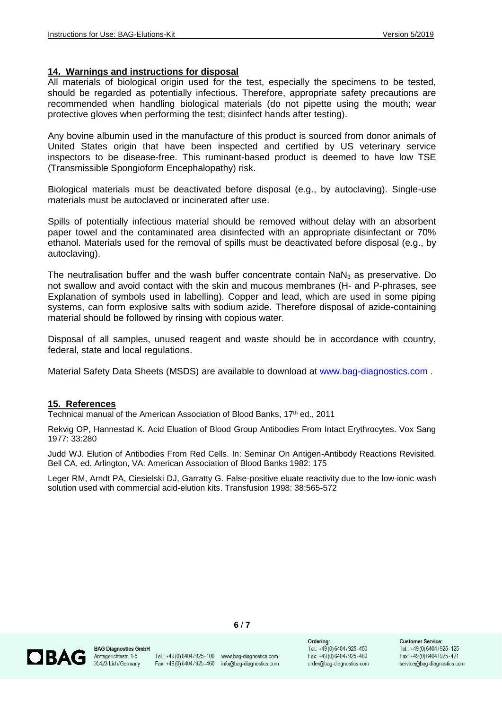#### **14. Warnings and instructions for disposal**

All materials of biological origin used for the test, especially the specimens to be tested, should be regarded as potentially infectious. Therefore, appropriate safety precautions are recommended when handling biological materials (do not pipette using the mouth; wear protective gloves when performing the test; disinfect hands after testing).

Any bovine albumin used in the manufacture of this product is sourced from donor animals of United States origin that have been inspected and certified by US veterinary service inspectors to be disease-free. This ruminant-based product is deemed to have low TSE (Transmissible Spongioform Encephalopathy) risk.

Biological materials must be deactivated before disposal (e.g., by autoclaving). Single-use materials must be autoclaved or incinerated after use.

Spills of potentially infectious material should be removed without delay with an absorbent paper towel and the contaminated area disinfected with an appropriate disinfectant or 70% ethanol. Materials used for the removal of spills must be deactivated before disposal (e.g., by autoclaving).

The neutralisation buffer and the wash buffer concentrate contain  $NaN<sub>3</sub>$  as preservative. Do not swallow and avoid contact with the skin and mucous membranes (H- and P-phrases, see Explanation of symbols used in labelling). Copper and lead, which are used in some piping systems, can form explosive salts with sodium azide. Therefore disposal of azide-containing material should be followed by rinsing with copious water.

Disposal of all samples, unused reagent and waste should be in accordance with country, federal, state and local regulations.

Material Safety Data Sheets (MSDS) are available to download at [www.bag-diagnostics.com](http://www.bag-diagnostics.com/) .

#### **15. References**

Technical manual of the American Association of Blood Banks, 17<sup>th</sup> ed., 2011

Rekvig OP, Hannestad K. Acid Eluation of Blood Group Antibodies From Intact Erythrocytes. Vox Sang 1977: 33:280

Judd WJ. Elution of Antibodies From Red Cells. In: Seminar On Antigen-Antibody Reactions Revisited. Bell CA, ed. Arlington, VA: American Association of Blood Banks 1982: 175

Leger RM, Arndt PA, Ciesielski DJ, Garratty G. False-positive eluate reactivity due to the low-ionic wash solution used with commercial acid-elution kits. Transfusion 1998: 38:565-572



**BAG Diagnostics GmbH** Amtsgerichtsstr. 1-5 35423 Lich/Germany

Tel.: +49(0)6404/925-100 www.bag-diagnostics.com Fax: +49(0)6404/925-460 info@bag-diagnostics.com

**6** / **7**

Ordering: Tel.: +49(0)6404/925-450 Fax: +49(0)6404/925-460 order@bag-diagnostics.com